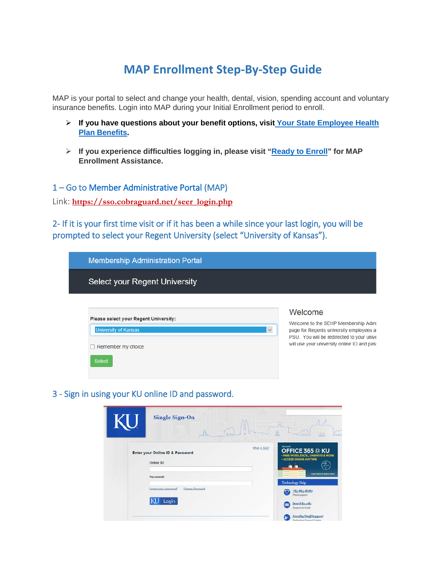# **MAP Enrollment Step-By-Step Guide**

MAP is your portal to select and change your health, dental, vision, spending account and voluntary insurance benefits. Login into MAP during your Initial Enrollment period to enroll.

- **If you have questions about your benefit options, visit [Your State Employee Health](http://humanresources.ku.edu/OE2018Benefits)  Plan [Benefits.](http://humanresources.ku.edu/OE2018Benefits)**
- **If you experience difficulties logging in, please visit ["Ready to Enroll"](https://humanresources.ku.edu/ReadyToEnroll) for MAP Enrollment Assistance.**

## 1 – Go to [Member Administrative Portal \(](https://sso.cobraguard.net/seer_login.php)MAP)

Link: **[https://sso.cobraguard.net/seer\\_login.php](https://sso.cobraguard.net/seer_login.php)**

2- If it is your first time visit or if it has been a while since your last login, you will be prompted to select your Regent University (select "University of Kansas").

| <b>Membership Administration Portal</b>                                                                     |              |                                                                                                                                                                                        |
|-------------------------------------------------------------------------------------------------------------|--------------|----------------------------------------------------------------------------------------------------------------------------------------------------------------------------------------|
| Select your Regent University                                                                               |              |                                                                                                                                                                                        |
| Please select your Regent University:<br><b>University of Kansas</b><br>Remember my choice<br><b>Select</b> | $\checkmark$ | Welcome<br>Welcome to the SEHP Membership Admi<br>page for Regents university employees at<br>PSU. You will be redirected to your unive<br>will use your university online ID and pas: |

# 3 - Sign in using your KU online ID and password.

| <b>Single Sign-On</b><br>$\frac{c}{11}$                                                                                | C.<br>用印                                                                                                                                                                                                                                                                                    |
|------------------------------------------------------------------------------------------------------------------------|---------------------------------------------------------------------------------------------------------------------------------------------------------------------------------------------------------------------------------------------------------------------------------------------|
| Enter your Online ID & Password<br>Online ID:<br>Password:<br><b>Change Password</b><br>Forgot your password?<br>Login | Microsoft<br>What is SSO?<br>OFFICE 365 @ KU<br><b>* FREE WORD, EXCEL, ONENOTE &amp; MORE</b><br><b>ACCESS ONLINE ANYTIME</b><br>kë.<br>60H<br>$\sim$<br>Click here to learn more<br><b>Technology Help</b><br>785-864-8080<br>⋒<br>Phone support<br>itese@ku.edu<br>⊶<br>Support via Email |
|                                                                                                                        | Faculty/StaffSupport<br>Technology Support Gentera                                                                                                                                                                                                                                          |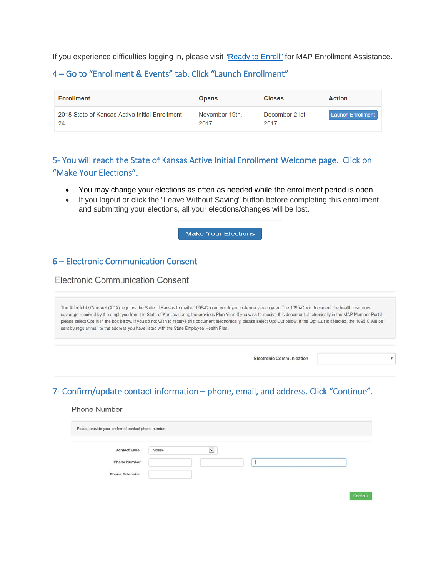If you experience difficulties logging in, please visit ["Ready to Enroll"](https://humanresources.ku.edu/ReadyToEnroll) for MAP Enrollment Assistance.

# 4 – Go to "Enrollment & Events" tab. Click "Launch Enrollment"

| <b>Enrollment</b>                                | <b>Opens</b>   | <b>Closes</b>  | <b>Action</b>            |
|--------------------------------------------------|----------------|----------------|--------------------------|
| 2018 State of Kansas Active Initial Enrollment - | November 19th, | December 21st. | <b>Launch Enrollment</b> |
| 24                                               | 2017           | 2017           |                          |

# 5- You will reach the State of Kansas Active Initial Enrollment Welcome page. Click on "Make Your Elections".

- You may change your elections as often as needed while the enrollment period is open.
- If you logout or click the "Leave Without Saving" button before completing this enrollment and submitting your elections, all your elections/changes will be lost.

Make Your Elections

# 6 – Electronic Communication Consent

**Electronic Communication Consent** 

The Affordable Care Act (ACA) requires the State of Kansas to mail a 1095-C to an employee in January each year. The 1095-C will document the health insurance coverage received by the employee from the State of Kansas during the previous Plan Year. If you wish to receive this document electronically in the MAP Member Portal, please select Opt-In in the box below. If you do not wish to receive this document electronically, please select Opt-Out below. If the Opt-Out is selected, the 1095-C will be sent by regular mail to the address you have listed with the State Employee Health Plan.

**Electronic Communication** 

 $\pmb{\tau}$ 

# 7- Confirm/update contact information – phone, email, and address. Click "Continue".

| <b>Contact Label</b>   | Mobile | $\breve{ }$ |  |  |
|------------------------|--------|-------------|--|--|
|                        |        |             |  |  |
| <b>Phone Number</b>    |        |             |  |  |
| <b>Phone Extension</b> |        |             |  |  |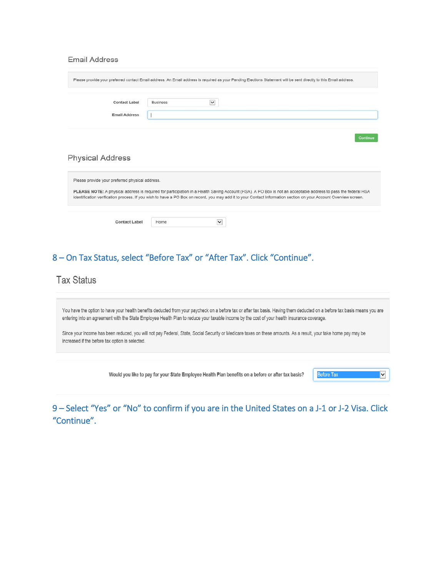#### **Email Address**

|                                                 | Please provide your preferred contact Email address. An Email address is required as your Pending Elections Statement will be sent directly to this Email address.                                                                                                                                                                |          |
|-------------------------------------------------|-----------------------------------------------------------------------------------------------------------------------------------------------------------------------------------------------------------------------------------------------------------------------------------------------------------------------------------|----------|
| <b>Contact Label</b>                            | $\check{ }$<br><b>Business</b>                                                                                                                                                                                                                                                                                                    |          |
| <b>Email Address</b>                            |                                                                                                                                                                                                                                                                                                                                   |          |
|                                                 |                                                                                                                                                                                                                                                                                                                                   |          |
| <b>Physical Address</b>                         |                                                                                                                                                                                                                                                                                                                                   | Continue |
| Please provide your preferred physical address. | PLEASE NOTE: A physical address is required for participation in a Health Saving Account (HSA). A PO Box is not an acceptable address to pass the federal HSA<br>identification verification process. If you wish to have a PO Box on record, you may add it to your Contact Information section on your Account Overview screen. |          |

# 8 – On Tax Status, select "Before Tax" or "After Tax". Click "Continue".

# **Tax Status**

You have the option to have your health benefits deducted from your paycheck on a before tax or after tax basis. Having them deducted on a before tax basis means you are entering into an agreement with the State Employee Health Plan to reduce your taxable income by the cost of your health insurance coverage.

Since your income has been reduced, you will not pay Federal, State, Social Security or Medicare taxes on these amounts. As a result, your take home pay may be increased if the before tax option is selected.

Would you like to pay for your State Employee Health Plan benefits on a before or after tax basis?

9 – Select "Yes" or "No" to confirm if you are in the United States on a J-1 or J-2 Visa. Click "Continue".

Before Tax

 $|\mathbf{v}|$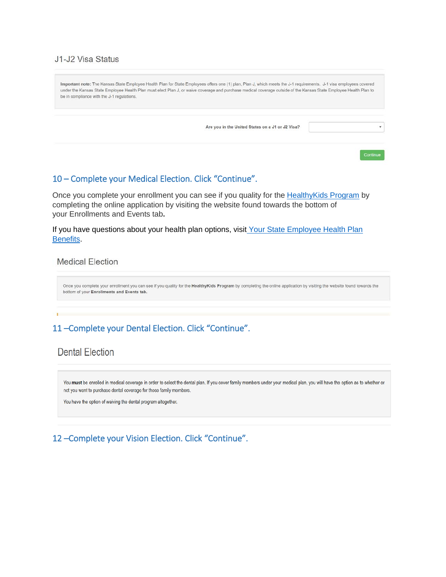### J1-J2 Visa Status

| be in compliance with the J-1 regulations. | Important note: The Kansas State Employee Health Plan for State Employees offers one (1) plan, Plan J, which meets the J-1 requirements. J-1 visa employees covered<br>under the Kansas State Employee Health Plan must elect Plan J, or waive coverage and purchase medical coverage outside of the Kansas State Employee Health Plan to |  |
|--------------------------------------------|-------------------------------------------------------------------------------------------------------------------------------------------------------------------------------------------------------------------------------------------------------------------------------------------------------------------------------------------|--|
|                                            | Are you in the United States on a J1 or J2 Visa?                                                                                                                                                                                                                                                                                          |  |
|                                            |                                                                                                                                                                                                                                                                                                                                           |  |

# 10 – Complete your Medical Election. Click "Continue".

Once you complete your enrollment you can see if you quality for the [HealthyKids Program](http://www.kdheks.gov/hcf/sehp/HK/HKInfo.pdf) by completing the online application by visiting the website found towards the bottom of your Enrollments and Events tab**.**

If you have questions about your health plan options, visit [Your State Employee Health Plan](http://humanresources.ku.edu/OE2018Benefits) [Benefits.](http://humanresources.ku.edu/OE2018Benefits)

**Medical Election** 

Once you complete your enrollment you can see if you quality for the HealthyKids Program by completing the online application by visiting the website found towards the bottom of your Enrollments and Events tab.

# 11 –Complete your Dental Election. Click "Continue".

# **Dental Election**

You must be enrolled in medical coverage in order to select the dental plan. If you cover family members under your medical plan, you will have the option as to whether or not you want to purchase dental coverage for those family members.

You have the option of waiving the dental program altogether.

# 12 –Complete your Vision Election. Click "Continue".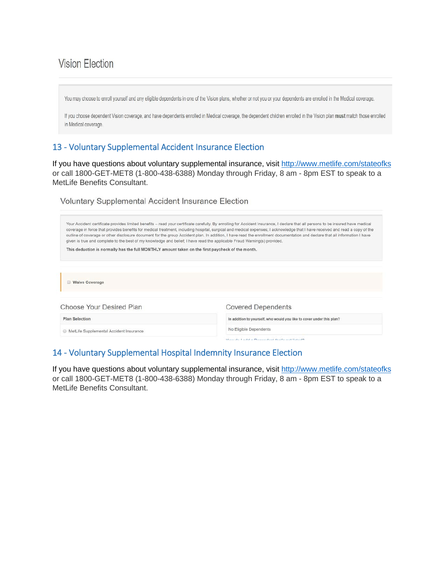# **Vision Election**

You may choose to enroll yourself and any eligible dependents in one of the Vision plans, whether or not you or your dependents are enrolled in the Medical coverage.

If you choose dependent Vision coverage, and have dependents enrolled in Medical coverage, the dependent children enrolled in the Vision plan must match those enrolled in Medical coverage.

# 13 - Voluntary Supplemental Accident Insurance Election

If you have questions about voluntary supplemental insurance, visit <http://www.metlife.com/stateofks> or call 1800-GET-MET8 (1-800-438-6388) Monday through Friday, 8 am - 8pm EST to speak to a MetLife Benefits Consultant.

Voluntary Supplemental Accident Insurance Election

| Your Accident certificate provides limited benefits - read your certificate carefully. By enrolling for Accident Insurance, I declare that all persons to be insured have medical<br>coverage in force that provides benefits for medical treatment, including hospital, surgical and medical expenses; I acknowledge that I have received and read a copy of the<br>outline of coverage or other disclosure document for the group Accident plan. In addition, I have read the enrollment documentation and declare that all information I have<br>given is true and complete to the best of my knowledge and belief; I have read the applicable Fraud Warning(s) provided. |                                                                       |  |  |  |
|------------------------------------------------------------------------------------------------------------------------------------------------------------------------------------------------------------------------------------------------------------------------------------------------------------------------------------------------------------------------------------------------------------------------------------------------------------------------------------------------------------------------------------------------------------------------------------------------------------------------------------------------------------------------------|-----------------------------------------------------------------------|--|--|--|
| This deduction is normally has the full MONTHLY amount taken on the first paycheck of the month.                                                                                                                                                                                                                                                                                                                                                                                                                                                                                                                                                                             |                                                                       |  |  |  |
| <b>Waive Coverage</b>                                                                                                                                                                                                                                                                                                                                                                                                                                                                                                                                                                                                                                                        |                                                                       |  |  |  |
| Choose Your Desired Plan                                                                                                                                                                                                                                                                                                                                                                                                                                                                                                                                                                                                                                                     | <b>Covered Dependents</b>                                             |  |  |  |
| <b>Plan Selection</b>                                                                                                                                                                                                                                                                                                                                                                                                                                                                                                                                                                                                                                                        | In addition to yourself, who would you like to cover under this plan? |  |  |  |
| MetLife Supplemental Accident Insurance                                                                                                                                                                                                                                                                                                                                                                                                                                                                                                                                                                                                                                      | No Eligible Dependents                                                |  |  |  |
|                                                                                                                                                                                                                                                                                                                                                                                                                                                                                                                                                                                                                                                                              | Marco shall in shall as Photograph and the other most that a shift    |  |  |  |

# 14 - Voluntary Supplemental Hospital Indemnity Insurance Election

If you have questions about voluntary supplemental insurance, visit <http://www.metlife.com/stateofks> or call 1800-GET-MET8 (1-800-438-6388) Monday through Friday, 8 am - 8pm EST to speak to a MetLife Benefits Consultant.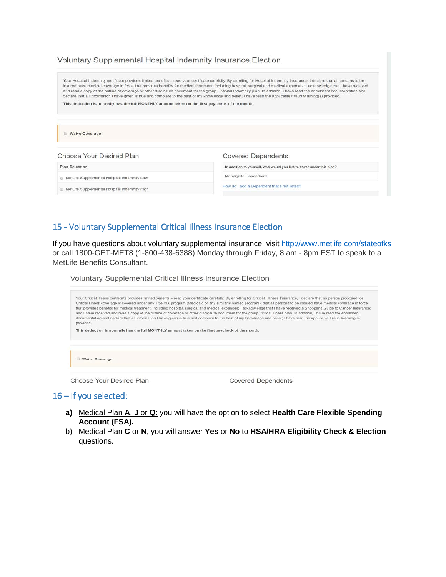| Voluntary Supplemental Hospital Indemnity Insurance Election |  |
|--------------------------------------------------------------|--|
|--------------------------------------------------------------|--|

Your Hospital Indemnity certificate provides limited benefits -- read your certificate carefully. By enrolling for Hospital Indemnity Insurance, I declare that all persons to be<br>insured have medical coverage in force that and read a copy of the outline of coverage or other disclosure document for the group Hospital Indemnity plan. In addition, I have read the enrollment documentation and declare that all information I have given is true and complete to the best of my knowledge and belief; I have read the applicable Fraud Warning(s) provided. This deduction is normally has the full MONTHLY amount taken on the first paycheck of the month. Waive Coverage Choose Your Desired Plan **Covered Dependents** 

In addition to yourself, who would you like to cover under this plan?

No Eligible Dependents

How do I add a Dependent that's not listed?

MetLife Supplemental Hospital Indemnity Low MetLife Supplemental Hospital Indemnity High

**Plan Selection** 

# 15 - Voluntary Supplemental Critical Illness Insurance Election

If you have questions about voluntary supplemental insurance, visit <http://www.metlife.com/stateofks> or call 1800-GET-MET8 (1-800-438-6388) Monday through Friday, 8 am - 8pm EST to speak to a MetLife Benefits Consultant.

Voluntary Supplemental Critical Illness Insurance Election

| provided.                                                                                        | Your Critical Illness certificate provides limited benefits - read your certificate carefully. By enrolling for Critical I Illness Insurance, I declare that no person proposed for<br>Critical Illness coverage is covered under any Title XIX program (Medicaid or any similarly named program); that all persons to be insured have medical coverage in force<br>that provides benefits for medical treatment, including hospital, surgical and medical expenses; I acknowledge that I have received a Shopper's Guide to Cancer Insurance;<br>and I have received and read a copy of the outline of coverage or other disclosure document for the group Critical Illness plan. In addition, I have read the enrollment<br>documentation and declare that all information I have given is true and complete to the best of my knowledge and belief; I have read the applicable Fraud Warning(s) |
|--------------------------------------------------------------------------------------------------|----------------------------------------------------------------------------------------------------------------------------------------------------------------------------------------------------------------------------------------------------------------------------------------------------------------------------------------------------------------------------------------------------------------------------------------------------------------------------------------------------------------------------------------------------------------------------------------------------------------------------------------------------------------------------------------------------------------------------------------------------------------------------------------------------------------------------------------------------------------------------------------------------|
| This deduction is normally has the full MONTHLY amount taken on the first paycheck of the month. |                                                                                                                                                                                                                                                                                                                                                                                                                                                                                                                                                                                                                                                                                                                                                                                                                                                                                                    |
| <b>Waive Coverage</b>                                                                            |                                                                                                                                                                                                                                                                                                                                                                                                                                                                                                                                                                                                                                                                                                                                                                                                                                                                                                    |
| Choose Your Desired Plan                                                                         | <b>Covered Dependents</b>                                                                                                                                                                                                                                                                                                                                                                                                                                                                                                                                                                                                                                                                                                                                                                                                                                                                          |

## 16 – If you selected:

- **a)** Medical Plan **A**, **J** or **Q**: you will have the option to select **Health Care Flexible Spending Account (FSA).**
- b) Medical Plan **C** or **N**, you will answer **Yes** or **No** to **HSA/HRA Eligibility Check & Election** questions.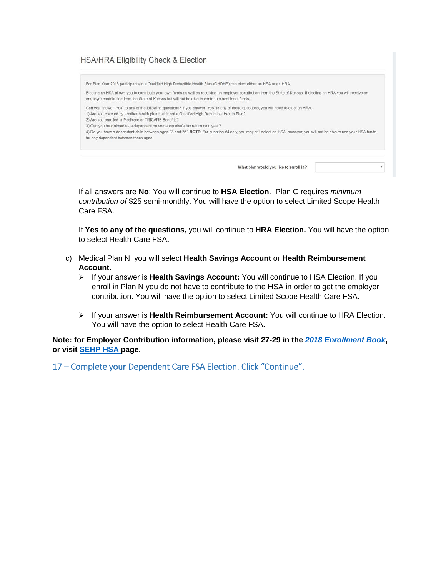## **HSA/HRA Eligibility Check & Election**

For Plan Year 2018 participants in a Qualified High Deductible Health Plan (OHDHP) can elect either an HSA or an HRA

Electing an HSA allows you to contribute your own funds as well as receiving an employer contribution from the State of Kansas. If electing an HRA you will receive an employer contribution from the State of Kansas but will not be able to contribute additional funds.

Can you answer "Yes" to any of the following questions? If you answer "Yes" to any of these questions, you will need to elect an HRA.

1) Are you covered by another health plan that is not a Qualified High Deductible Health Plan?

2) Are you enrolled in Medicare or TRICARE Benefits?

3) Can you be claimed as a dependent on someone else's tax return next year?

4) Do you have a dependent child between ages 23 and 26? NOTE: For question #4 only, you may still select an HSA, however, you will not be able to use your HSA funds for any dependent between those ages.

What plan would you like to enroll in?

 $\mathbf{v}$ 

If all answers are **No**: You will continue to **HSA Election**. Plan C requires *minimum contribution of* \$25 semi-monthly. You will have the option to select Limited Scope Health Care FSA.

If **Yes to any of the questions,** you will continue to **HRA Election.** You will have the option to select Health Care FSA**.**

- c) Medical Plan N, you will select **Health Savings Account** or **Health Reimbursement Account.**
	- If your answer is **Health Savings Account:** You will continue to HSA Election. If you enroll in Plan N you do not have to contribute to the HSA in order to get the employer contribution. You will have the option to select Limited Scope Health Care FSA.
	- If your answer is **Health Reimbursement Account:** You will continue to HRA Election. You will have the option to select Health Care FSA**.**

**Note: for Employer Contribution information, please visit 27-29 in the** *[2018 Enrollment Book](http://www.kdheks.gov/hcf/sehp/download/SEHP2018ActiveNonStateBook.pdf)***, or visit [SEHP HSA](http://www.kdheks.gov/hcf/sehp/HSA.htm) [pa](http://www.kdheks.gov/hcf/sehp/HSA.htm)ge.**

17 – Complete your Dependent Care FSA Election. Click "Continue".